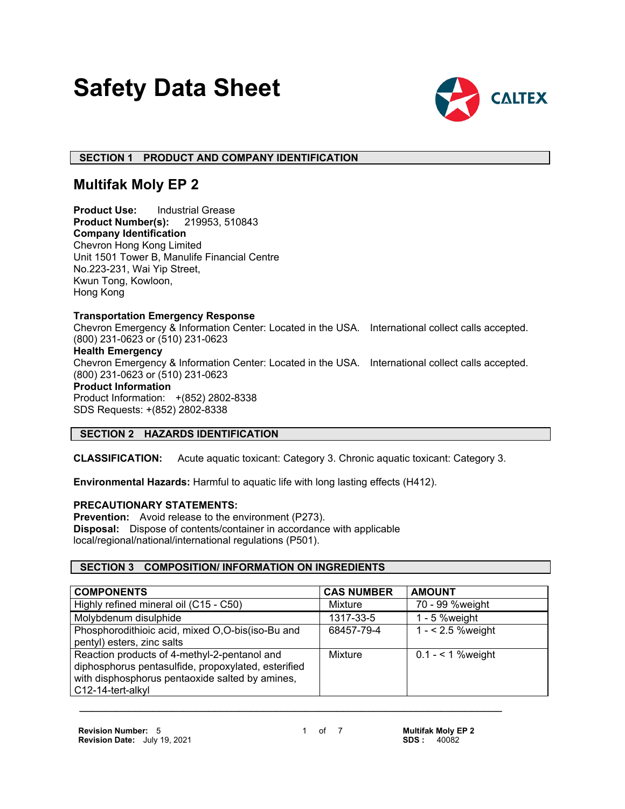# **Safety Data Sheet**



# **SECTION 1 PRODUCT AND COMPANY IDENTIFICATION**

# **Multifak Moly EP 2**

**Product Use:** Industrial Grease **Product Number(s):** 219953, 510843 **Company Identification** Chevron Hong Kong Limited Unit 1501 Tower B, Manulife Financial Centre No.223-231, Wai Yip Street, Kwun Tong, Kowloon, Hong Kong

#### **Transportation Emergency Response**

Chevron Emergency & Information Center: Located in the USA. International collect calls accepted. (800) 231-0623 or (510) 231-0623 **Health Emergency** Chevron Emergency & Information Center: Located in the USA. International collect calls accepted. (800) 231-0623 or (510) 231-0623 **Product Information** Product Information: +(852) 2802-8338 SDS Requests: +(852) 2802-8338

# **SECTION 2 HAZARDS IDENTIFICATION**

**CLASSIFICATION:** Acute aquatic toxicant: Category 3. Chronic aquatic toxicant: Category 3.

**Environmental Hazards:** Harmful to aquatic life with long lasting effects (H412).

# **PRECAUTIONARY STATEMENTS:**

**Prevention:** Avoid release to the environment (P273). **Disposal:** Dispose of contents/container in accordance with applicable local/regional/national/international regulations (P501).

# **SECTION 3 COMPOSITION/ INFORMATION ON INGREDIENTS**

| <b>COMPONENTS</b>                                                                                                                                                           | <b>CAS NUMBER</b> | <b>AMOUNT</b>      |
|-----------------------------------------------------------------------------------------------------------------------------------------------------------------------------|-------------------|--------------------|
| Highly refined mineral oil (C15 - C50)                                                                                                                                      | Mixture           | 70 - 99 %weight    |
| Molybdenum disulphide                                                                                                                                                       | 1317-33-5         | 1 - 5 % weight     |
| Phosphorodithioic acid, mixed O,O-bis(iso-Bu and                                                                                                                            | 68457-79-4        | $1 - 2.5$ % weight |
| pentyl) esters, zinc salts                                                                                                                                                  |                   |                    |
| Reaction products of 4-methyl-2-pentanol and<br>diphosphorus pentasulfide, propoxylated, esterified<br>with disphosphorus pentaoxide salted by amines,<br>C12-14-tert-alkyl | Mixture           | $0.1 - 1$ % weight |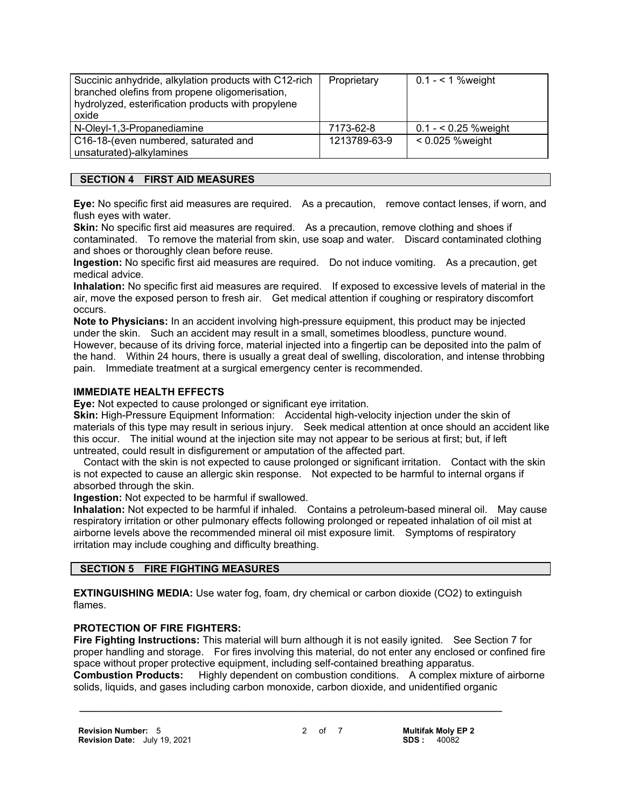| Succinic anhydride, alkylation products with C12-rich<br>branched olefins from propene oligomerisation,<br>hydrolyzed, esterification products with propylene<br>oxide | Proprietary  | 0.1 - $<$ 1 % weight |
|------------------------------------------------------------------------------------------------------------------------------------------------------------------------|--------------|----------------------|
| N-Oleyl-1,3-Propanediamine                                                                                                                                             | 7173-62-8    | $0.1 - 5.25$ %weight |
| C16-18-(even numbered, saturated and<br>unsaturated)-alkylamines                                                                                                       | 1213789-63-9 | $< 0.025$ %weight    |

# **SECTION 4 FIRST AID MEASURES**

**Eye:** No specific first aid measures are required. As a precaution, remove contact lenses, if worn, and flush eyes with water.

**Skin:** No specific first aid measures are required. As a precaution, remove clothing and shoes if contaminated. To remove the material from skin, use soap and water. Discard contaminated clothing and shoes or thoroughly clean before reuse.

**Ingestion:** No specific first aid measures are required. Do not induce vomiting. As a precaution, get medical advice.

**Inhalation:** No specific first aid measures are required. If exposed to excessive levels of material in the air, move the exposed person to fresh air. Get medical attention if coughing or respiratory discomfort occurs.

**Note to Physicians:** In an accident involving high-pressure equipment, this product may be injected under the skin. Such an accident may result in a small, sometimes bloodless, puncture wound. However, because of its driving force, material injected into a fingertip can be deposited into the palm of the hand. Within 24 hours, there is usually a great deal of swelling, discoloration, and intense throbbing pain. Immediate treatment at a surgical emergency center is recommended.

#### **IMMEDIATE HEALTH EFFECTS**

**Eye:** Not expected to cause prolonged or significant eye irritation.

**Skin:** High-Pressure Equipment Information: Accidental high-velocity injection under the skin of materials of this type may result in serious injury. Seek medical attention at once should an accident like this occur. The initial wound at the injection site may not appear to be serious at first; but, if left untreated, could result in disfigurement or amputation of the affected part.

 Contact with the skin is not expected to cause prolonged or significant irritation. Contact with the skin is not expected to cause an allergic skin response. Not expected to be harmful to internal organs if absorbed through the skin.

**Ingestion:** Not expected to be harmful if swallowed.

**Inhalation:** Not expected to be harmful if inhaled. Contains a petroleum-based mineral oil. May cause respiratory irritation or other pulmonary effects following prolonged or repeated inhalation of oil mist at airborne levels above the recommended mineral oil mist exposure limit. Symptoms of respiratory irritation may include coughing and difficulty breathing.

#### **SECTION 5 FIRE FIGHTING MEASURES**

**EXTINGUISHING MEDIA:** Use water fog, foam, dry chemical or carbon dioxide (CO2) to extinguish flames.

#### **PROTECTION OF FIRE FIGHTERS:**

**Fire Fighting Instructions:** This material will burn although it is not easily ignited. See Section 7 for proper handling and storage. For fires involving this material, do not enter any enclosed or confined fire space without proper protective equipment, including self-contained breathing apparatus. **Combustion Products:** Highly dependent on combustion conditions. A complex mixture of airborne solids, liquids, and gases including carbon monoxide, carbon dioxide, and unidentified organic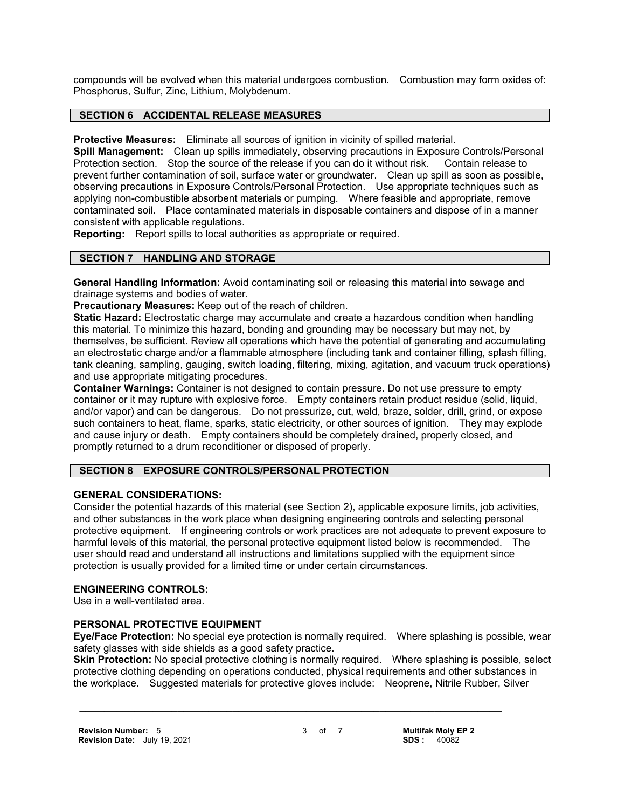compounds will be evolved when this material undergoes combustion. Combustion may form oxides of: Phosphorus, Sulfur, Zinc, Lithium, Molybdenum.

# **SECTION 6 ACCIDENTAL RELEASE MEASURES**

**Protective Measures:** Eliminate all sources of ignition in vicinity of spilled material.

**Spill Management:** Clean up spills immediately, observing precautions in Exposure Controls/Personal Protection section. Stop the source of the release if you can do it without risk. Contain release to prevent further contamination of soil, surface water or groundwater. Clean up spill as soon as possible, observing precautions in Exposure Controls/Personal Protection. Use appropriate techniques such as applying non-combustible absorbent materials or pumping. Where feasible and appropriate, remove contaminated soil. Place contaminated materials in disposable containers and dispose of in a manner consistent with applicable regulations.

**Reporting:** Report spills to local authorities as appropriate or required.

#### **SECTION 7 HANDLING AND STORAGE**

**General Handling Information:** Avoid contaminating soil or releasing this material into sewage and drainage systems and bodies of water.

**Precautionary Measures:** Keep out of the reach of children.

**Static Hazard:** Electrostatic charge may accumulate and create a hazardous condition when handling this material. To minimize this hazard, bonding and grounding may be necessary but may not, by themselves, be sufficient. Review all operations which have the potential of generating and accumulating an electrostatic charge and/or a flammable atmosphere (including tank and container filling, splash filling, tank cleaning, sampling, gauging, switch loading, filtering, mixing, agitation, and vacuum truck operations) and use appropriate mitigating procedures.

**Container Warnings:** Container is not designed to contain pressure. Do not use pressure to empty container or it may rupture with explosive force. Empty containers retain product residue (solid, liquid, and/or vapor) and can be dangerous. Do not pressurize, cut, weld, braze, solder, drill, grind, or expose such containers to heat, flame, sparks, static electricity, or other sources of ignition. They may explode and cause injury or death. Empty containers should be completely drained, properly closed, and promptly returned to a drum reconditioner or disposed of properly.

# **SECTION 8 EXPOSURE CONTROLS/PERSONAL PROTECTION**

#### **GENERAL CONSIDERATIONS:**

Consider the potential hazards of this material (see Section 2), applicable exposure limits, job activities, and other substances in the work place when designing engineering controls and selecting personal protective equipment. If engineering controls or work practices are not adequate to prevent exposure to harmful levels of this material, the personal protective equipment listed below is recommended. The user should read and understand all instructions and limitations supplied with the equipment since protection is usually provided for a limited time or under certain circumstances.

#### **ENGINEERING CONTROLS:**

Use in a well-ventilated area.

#### **PERSONAL PROTECTIVE EQUIPMENT**

**Eye/Face Protection:** No special eye protection is normally required. Where splashing is possible, wear safety glasses with side shields as a good safety practice.

**Skin Protection:** No special protective clothing is normally required. Where splashing is possible, select protective clothing depending on operations conducted, physical requirements and other substances in the workplace. Suggested materials for protective gloves include: Neoprene, Nitrile Rubber, Silver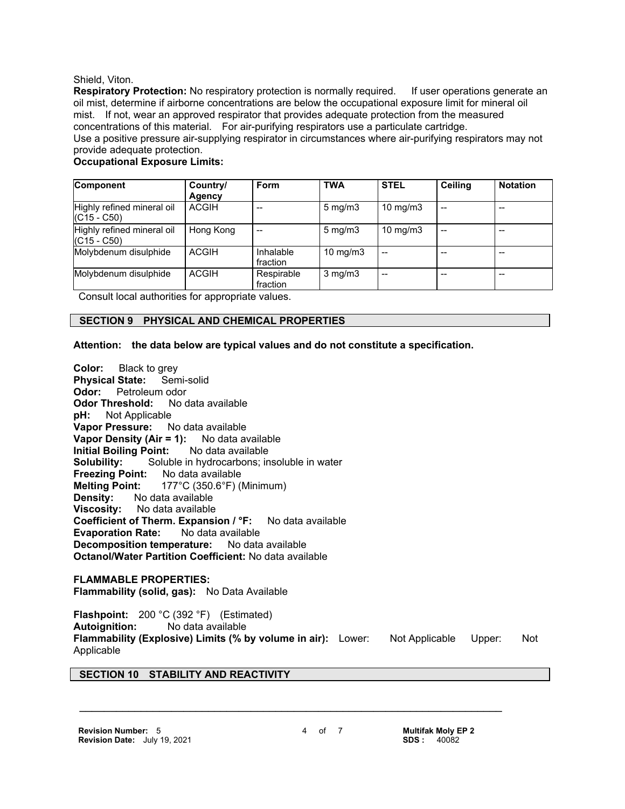#### Shield, Viton.

**Respiratory Protection:** No respiratory protection is normally required. If user operations generate an oil mist, determine if airborne concentrations are below the occupational exposure limit for mineral oil mist. If not, wear an approved respirator that provides adequate protection from the measured concentrations of this material. For air-purifying respirators use a particulate cartridge. Use a positive pressure air-supplying respirator in circumstances where air-purifying respirators may not provide adequate protection.

#### **Occupational Exposure Limits:**

| Component                                   | Country/<br><b>Agency</b> | Form                   | <b>TWA</b>        | <b>STEL</b>       | <b>Ceiling</b> | <b>Notation</b> |
|---------------------------------------------|---------------------------|------------------------|-------------------|-------------------|----------------|-----------------|
| Highly refined mineral oil<br>$(C15 - C50)$ | <b>ACGIH</b>              |                        | $5 \text{ mg/m}$  | $10 \text{ mg/m}$ | --             |                 |
| Highly refined mineral oil<br>$(C15 - C50)$ | Hong Kong                 |                        | $5 \text{ mg/m}$  | $10 \text{ mg/m}$ | --             |                 |
| Molybdenum disulphide                       | <b>ACGIH</b>              | Inhalable<br>fraction  | $10 \text{ mg/m}$ | $- -$             | --             | $- -$           |
| Molybdenum disulphide                       | <b>ACGIH</b>              | Respirable<br>fraction | $3$ mg/m $3$      | $- -$             |                |                 |

Consult local authorities for appropriate values.

# **SECTION 9 PHYSICAL AND CHEMICAL PROPERTIES**

#### **Attention: the data below are typical values and do not constitute a specification.**

**Color:** Black to grey **Physical State:** Semi-solid **Odor:** Petroleum odor **Odor Threshold:** No data available **pH:** Not Applicable **Vapor Pressure:** No data available **Vapor Density (Air = 1):** No data available **Initial Boiling Point:** No data available **Solubility:** Soluble in hydrocarbons; insoluble in water **Freezing Point:** No data available **Melting Point:** 177°C (350.6°F) (Minimum) **Density:** No data available **Viscosity:** No data available **Coefficient of Therm. Expansion / °F:** No data available **Evaporation Rate:** No data available **Decomposition temperature:** No data available **Octanol/Water Partition Coefficient:** No data available

# **FLAMMABLE PROPERTIES:**

**Flammability (solid, gas):** No Data Available

**Flashpoint:** 200 °C (392 °F) (Estimated) **Autoignition:** No data available **Flammability (Explosive) Limits (% by volume in air):** Lower: Not Applicable Upper: Not Applicable

 **\_\_\_\_\_\_\_\_\_\_\_\_\_\_\_\_\_\_\_\_\_\_\_\_\_\_\_\_\_\_\_\_\_\_\_\_\_\_\_\_\_\_\_\_\_\_\_\_\_\_\_\_\_\_\_\_\_\_\_\_\_\_\_\_\_\_\_\_\_**

# **SECTION 10 STABILITY AND REACTIVITY**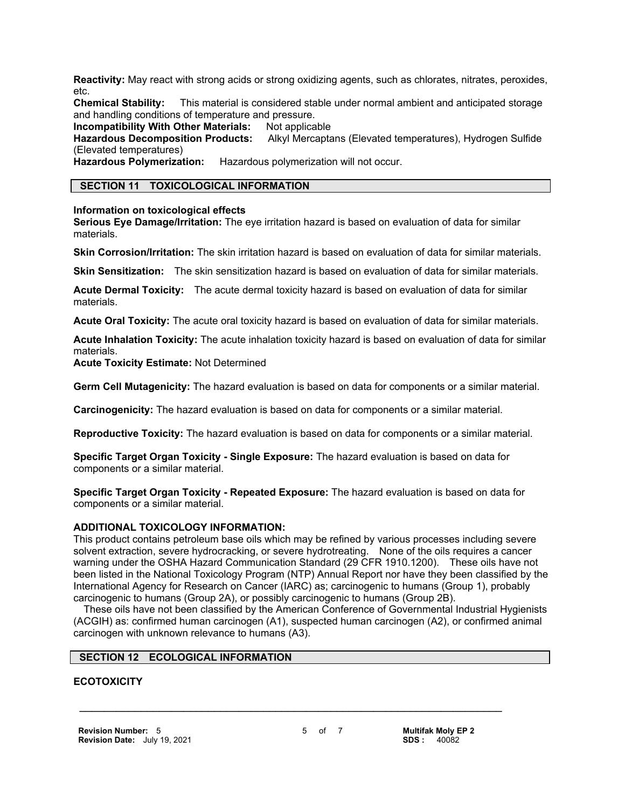**Reactivity:** May react with strong acids or strong oxidizing agents, such as chlorates, nitrates, peroxides, etc.

**Chemical Stability:** This material is considered stable under normal ambient and anticipated storage and handling conditions of temperature and pressure.

**Incompatibility With Other Materials: Not applicable** 

**Hazardous Decomposition Products:** Alkyl Mercaptans (Elevated temperatures), Hydrogen Sulfide (Elevated temperatures)

**Hazardous Polymerization:** Hazardous polymerization will not occur.

# **SECTION 11 TOXICOLOGICAL INFORMATION**

**Information on toxicological effects**

**Serious Eye Damage/Irritation:** The eye irritation hazard is based on evaluation of data for similar materials.

**Skin Corrosion/Irritation:** The skin irritation hazard is based on evaluation of data for similar materials.

**Skin Sensitization:** The skin sensitization hazard is based on evaluation of data for similar materials.

**Acute Dermal Toxicity:** The acute dermal toxicity hazard is based on evaluation of data for similar materials.

**Acute Oral Toxicity:** The acute oral toxicity hazard is based on evaluation of data for similar materials.

**Acute Inhalation Toxicity:** The acute inhalation toxicity hazard is based on evaluation of data for similar materials.

**Acute Toxicity Estimate:** Not Determined

**Germ Cell Mutagenicity:** The hazard evaluation is based on data for components or a similar material.

**Carcinogenicity:** The hazard evaluation is based on data for components or a similar material.

**Reproductive Toxicity:** The hazard evaluation is based on data for components or a similar material.

**Specific Target Organ Toxicity - Single Exposure:** The hazard evaluation is based on data for components or a similar material.

**Specific Target Organ Toxicity - Repeated Exposure:** The hazard evaluation is based on data for components or a similar material.

#### **ADDITIONAL TOXICOLOGY INFORMATION:**

This product contains petroleum base oils which may be refined by various processes including severe solvent extraction, severe hydrocracking, or severe hydrotreating. None of the oils requires a cancer warning under the OSHA Hazard Communication Standard (29 CFR 1910.1200). These oils have not been listed in the National Toxicology Program (NTP) Annual Report nor have they been classified by the International Agency for Research on Cancer (IARC) as; carcinogenic to humans (Group 1), probably carcinogenic to humans (Group 2A), or possibly carcinogenic to humans (Group 2B).

 These oils have not been classified by the American Conference of Governmental Industrial Hygienists (ACGIH) as: confirmed human carcinogen (A1), suspected human carcinogen (A2), or confirmed animal carcinogen with unknown relevance to humans (A3).

# **SECTION 12 ECOLOGICAL INFORMATION**

# **ECOTOXICITY**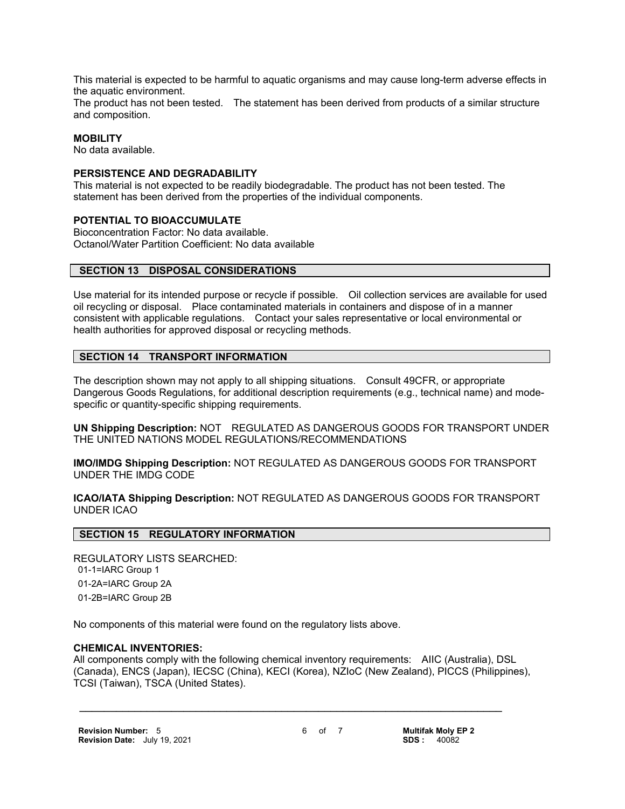This material is expected to be harmful to aquatic organisms and may cause long-term adverse effects in the aquatic environment.

The product has not been tested. The statement has been derived from products of a similar structure and composition.

# **MOBILITY**

No data available.

#### **PERSISTENCE AND DEGRADABILITY**

This material is not expected to be readily biodegradable. The product has not been tested. The statement has been derived from the properties of the individual components.

#### **POTENTIAL TO BIOACCUMULATE**

Bioconcentration Factor: No data available. Octanol/Water Partition Coefficient: No data available

#### **SECTION 13 DISPOSAL CONSIDERATIONS**

Use material for its intended purpose or recycle if possible. Oil collection services are available for used oil recycling or disposal. Place contaminated materials in containers and dispose of in a manner consistent with applicable regulations. Contact your sales representative or local environmental or health authorities for approved disposal or recycling methods.

#### **SECTION 14 TRANSPORT INFORMATION**

The description shown may not apply to all shipping situations. Consult 49CFR, or appropriate Dangerous Goods Regulations, for additional description requirements (e.g., technical name) and modespecific or quantity-specific shipping requirements.

**UN Shipping Description:** NOT REGULATED AS DANGEROUS GOODS FOR TRANSPORT UNDER THE UNITED NATIONS MODEL REGULATIONS/RECOMMENDATIONS

**IMO/IMDG Shipping Description:** NOT REGULATED AS DANGEROUS GOODS FOR TRANSPORT UNDER THE IMDG CODE

**ICAO/IATA Shipping Description:** NOT REGULATED AS DANGEROUS GOODS FOR TRANSPORT UNDER ICAO

# **SECTION 15 REGULATORY INFORMATION**

REGULATORY LISTS SEARCHED: 01-1=IARC Group 1 01-2A=IARC Group 2A 01-2B=IARC Group 2B

No components of this material were found on the regulatory lists above.

#### **CHEMICAL INVENTORIES:**

All components comply with the following chemical inventory requirements: AIIC (Australia), DSL (Canada), ENCS (Japan), IECSC (China), KECI (Korea), NZIoC (New Zealand), PICCS (Philippines), TCSI (Taiwan), TSCA (United States).